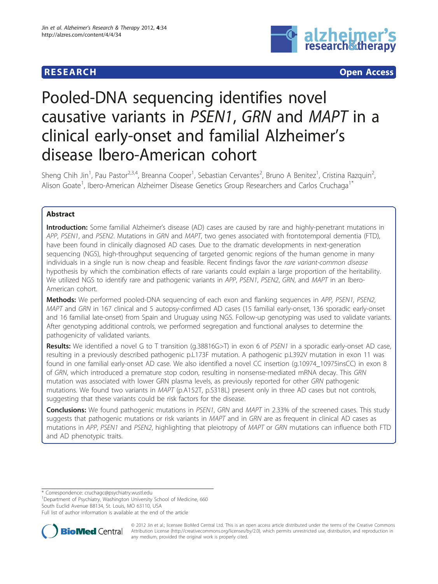# **RESEARCH CONSTRUCTION CONTROL**



# Pooled-DNA sequencing identifies novel causative variants in PSEN1, GRN and MAPT in a clinical early-onset and familial Alzheimer's disease Ibero-American cohort

Sheng Chih Jin<sup>1</sup>, Pau Pastor<sup>2,3,4</sup>, Breanna Cooper<sup>1</sup>, Sebastian Cervantes<sup>2</sup>, Bruno A Benitez<sup>1</sup>, Cristina Razquin<sup>2</sup> .<br>, Alison Goate<sup>1</sup>, Ibero-American Alzheimer Disease Genetics Group Researchers and Carlos Cruchaga<sup>1\*</sup>

# Abstract

Introduction: Some familial Alzheimer's disease (AD) cases are caused by rare and highly-penetrant mutations in APP, PSEN1, and PSEN2. Mutations in GRN and MAPT, two genes associated with frontotemporal dementia (FTD), have been found in clinically diagnosed AD cases. Due to the dramatic developments in next-generation sequencing (NGS), high-throughput sequencing of targeted genomic regions of the human genome in many individuals in a single run is now cheap and feasible. Recent findings favor the rare variant-common disease hypothesis by which the combination effects of rare variants could explain a large proportion of the heritability. We utilized NGS to identify rare and pathogenic variants in APP, PSEN1, PSEN2, GRN, and MAPT in an Ibero-American cohort.

Methods: We performed pooled-DNA sequencing of each exon and flanking sequences in APP, PSEN1, PSEN2, MAPT and GRN in 167 clinical and 5 autopsy-confirmed AD cases (15 familial early-onset, 136 sporadic early-onset and 16 familial late-onset) from Spain and Uruguay using NGS. Follow-up genotyping was used to validate variants. After genotyping additional controls, we performed segregation and functional analyses to determine the pathogenicity of validated variants.

Results: We identified a novel G to T transition (g.38816G>T) in exon 6 of PSEN1 in a sporadic early-onset AD case, resulting in a previously described pathogenic p.L173F mutation. A pathogenic p.L392V mutation in exon 11 was found in one familial early-onset AD case. We also identified a novel CC insertion (g.10974\_10975insCC) in exon 8 of GRN, which introduced a premature stop codon, resulting in nonsense-mediated mRNA decay. This GRN mutation was associated with lower GRN plasma levels, as previously reported for other GRN pathogenic mutations. We found two variants in MAPT (p.A152T, p.S318L) present only in three AD cases but not controls, suggesting that these variants could be risk factors for the disease.

Conclusions: We found pathogenic mutations in PSEN1, GRN and MAPT in 2.33% of the screened cases. This study suggests that pathogenic mutations or risk variants in MAPT and in GRN are as frequent in clinical AD cases as mutations in APP, PSEN1 and PSEN2, highlighting that pleiotropy of MAPT or GRN mutations can influence both FTD and AD phenotypic traits.

\* Correspondence: [cruchagc@psychiatry.wustl.edu](mailto:cruchagc@psychiatry.wustl.edu)

<sup>1</sup>Department of Psychiatry, Washington University School of Medicine, 660 South Euclid Avenue B8134, St. Louis, MO 63110, USA

Full list of author information is available at the end of the article



© 2012 Jin et al.; licensee BioMed Central Ltd. This is an open access article distributed under the terms of the Creative Commons Attribution License [\(http://creativecommons.org/licenses/by/2.0](http://creativecommons.org/licenses/by/2.0)), which permits unrestricted use, distribution, and reproduction in any medium, provided the original work is properly cited.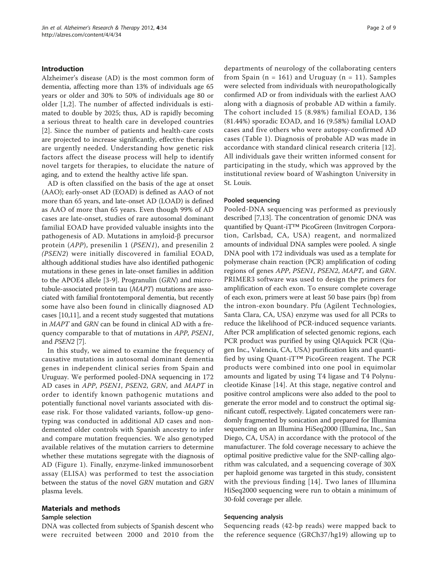# Introduction

Alzheimer's disease (AD) is the most common form of dementia, affecting more than 13% of individuals age 65 years or older and 30% to 50% of individuals age 80 or older [\[1](#page-7-0),[2\]](#page-7-0). The number of affected individuals is estimated to double by 2025; thus, AD is rapidly becoming a serious threat to health care in developed countries [[2](#page-7-0)]. Since the number of patients and health-care costs are projected to increase significantly, effective therapies are urgently needed. Understanding how genetic risk factors affect the disease process will help to identify novel targets for therapies, to elucidate the nature of aging, and to extend the healthy active life span.

AD is often classified on the basis of the age at onset (AAO); early-onset AD (EOAD) is defined as AAO of not more than 65 years, and late-onset AD (LOAD) is defined as AAO of more than 65 years. Even though 99% of AD cases are late-onset, studies of rare autosomal dominant familial EOAD have provided valuable insights into the pathogenesis of AD. Mutations in amyloid- $\beta$  precursor protein (APP), presenilin 1 (PSEN1), and presenilin 2 (PSEN2) were initially discovered in familial EOAD, although additional studies have also identified pathogenic mutations in these genes in late-onset families in addition to the APOE4 allele [[3-9\]](#page-7-0). Progranulin (GRN) and microtubule-associated protein tau (MAPT) mutations are associated with familial frontotemporal dementia, but recently some have also been found in clinically diagnosed AD cases [\[10,11\]](#page-7-0), and a recent study suggested that mutations in MAPT and GRN can be found in clinical AD with a frequency comparable to that of mutations in APP, PSEN1, and PSEN2 [\[7\]](#page-7-0).

In this study, we aimed to examine the frequency of causative mutations in autosomal dominant dementia genes in independent clinical series from Spain and Uruguay. We performed pooled-DNA sequencing in 172 AD cases in APP, PSEN1, PSEN2, GRN, and MAPT in order to identify known pathogenic mutations and potentially functional novel variants associated with disease risk. For those validated variants, follow-up genotyping was conducted in additional AD cases and nondemented older controls with Spanish ancestry to infer and compare mutation frequencies. We also genotyped available relatives of the mutation carriers to determine whether these mutations segregate with the diagnosis of AD (Figure [1\)](#page-2-0). Finally, enzyme-linked immunosorbent assay (ELISA) was performed to test the association between the status of the novel GRN mutation and GRN plasma levels.

# Materials and methods

## Sample selection

DNA was collected from subjects of Spanish descent who were recruited between 2000 and 2010 from the departments of neurology of the collaborating centers from Spain ( $n = 161$ ) and Uruguay ( $n = 11$ ). Samples were selected from individuals with neuropathologically confirmed AD or from individuals with the earliest AAO along with a diagnosis of probable AD within a family. The cohort included 15 (8.98%) familial EOAD, 136 (81.44%) sporadic EOAD, and 16 (9.58%) familial LOAD cases and five others who were autopsy-confirmed AD cases (Table [1\)](#page-3-0). Diagnosis of probable AD was made in accordance with standard clinical research criteria [[12](#page-7-0)]. All individuals gave their written informed consent for participating in the study, which was approved by the institutional review board of Washington University in St. Louis.

## Pooled sequencing

Pooled-DNA sequencing was performed as previously described [\[7,13\]](#page-7-0). The concentration of genomic DNA was quantified by Quant-iT™ PicoGreen (Invitrogen Corporation, Carlsbad, CA, USA) reagent, and normalized amounts of individual DNA samples were pooled. A single DNA pool with 172 individuals was used as a template for polymerase chain reaction (PCR) amplification of coding regions of genes APP, PSEN1, PSEN2, MAPT, and GRN. PRIMER3 software was used to design the primers for amplification of each exon. To ensure complete coverage of each exon, primers were at least 50 base pairs (bp) from the intron-exon boundary. Pfu (Agilent Technologies, Santa Clara, CA, USA) enzyme was used for all PCRs to reduce the likelihood of PCR-induced sequence variants. After PCR amplification of selected genomic regions, each PCR product was purified by using QIAquick PCR (Qiagen Inc., Valencia, CA, USA) purification kits and quantified by using Quant-iT™ PicoGreen reagent. The PCR products were combined into one pool in equimolar amounts and ligated by using T4 ligase and T4 Polynucleotide Kinase [[14](#page-7-0)]. At this stage, negative control and positive control amplicons were also added to the pool to generate the error model and to construct the optimal significant cutoff, respectively. Ligated concatemers were randomly fragmented by sonication and prepared for Illumina sequencing on an Illumina HiSeq2000 (Illumina, Inc., San Diego, CA, USA) in accordance with the protocol of the manufacturer. The fold coverage necessary to achieve the optimal positive predictive value for the SNP-calling algorithm was calculated, and a sequencing coverage of 30X per haploid genome was targeted in this study, consistent with the previous finding [\[14\]](#page-7-0). Two lanes of Illumina HiSeq2000 sequencing were run to obtain a minimum of 30-fold coverage per allele.

## Sequencing analysis

Sequencing reads (42-bp reads) were mapped back to the reference sequence (GRCh37/hg19) allowing up to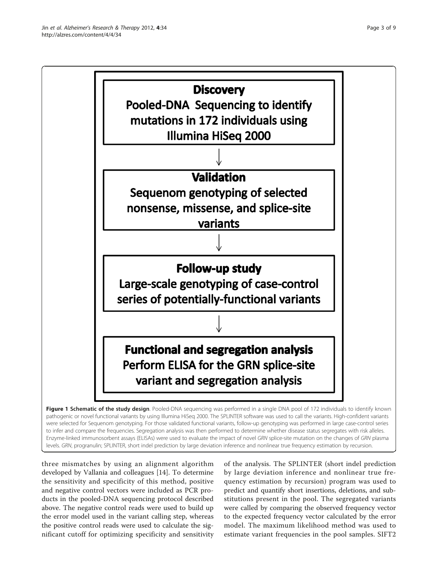<span id="page-2-0"></span>

pathogenic or novel functional variants by using Illumina HiSeq 2000. The SPLINTER software was used to call the variants. High-confident variants were selected for Sequenom genotyping. For those validated functional variants, follow-up genotyping was performed in large case-control series to infer and compare the frequencies. Segregation analysis was then performed to determine whether disease status segregates with risk alleles. Enzyme-linked immunosorbent assays (ELISAs) were used to evaluate the impact of novel GRN splice-site mutation on the changes of GRN plasma levels. GRN, progranulin; SPLINTER, short indel prediction by large deviation inference and nonlinear true frequency estimation by recursion.

three mismatches by using an alignment algorithm developed by Vallania and colleagues [[14\]](#page-7-0). To determine the sensitivity and specificity of this method, positive and negative control vectors were included as PCR products in the pooled-DNA sequencing protocol described above. The negative control reads were used to build up the error model used in the variant calling step, whereas the positive control reads were used to calculate the significant cutoff for optimizing specificity and sensitivity

of the analysis. The SPLINTER (short indel prediction by large deviation inference and nonlinear true frequency estimation by recursion) program was used to predict and quantify short insertions, deletions, and substitutions present in the pool. The segregated variants were called by comparing the observed frequency vector to the expected frequency vector calculated by the error model. The maximum likelihood method was used to estimate variant frequencies in the pool samples. SIFT2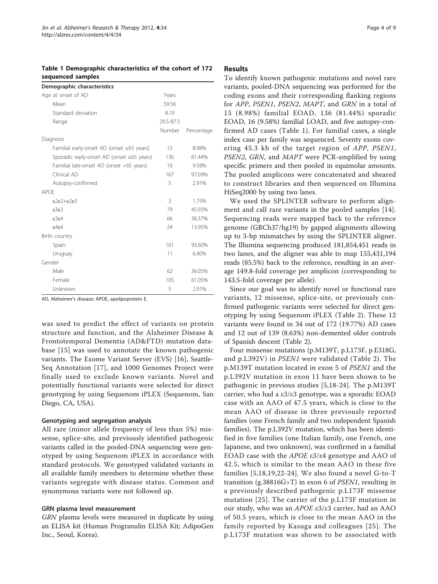<span id="page-3-0"></span>Table 1 Demographic characteristics of the cohort of 172 sequenced samples

| Demographic characteristics                     |           |            |
|-------------------------------------------------|-----------|------------|
| Age at onset of AD                              | Years     |            |
| Mean                                            | 59.56     |            |
| Standard deviation                              | 8.19      |            |
| Range                                           | 29.5-87.5 |            |
|                                                 | Number    | Percentage |
| Diagnosis                                       |           |            |
| Familial early-onset AD (onset $\leq 65$ years) | 15        | 8.98%      |
| Sporadic early-onset AD (onset ≤65 years)       | 136       | 81.44%     |
| Familial late-onset AD (onset >65 years)        | 16        | 9.58%      |
| Clinical AD                                     | 167       | 97.09%     |
| Autopsy-confirmed                               | 5         | 2.91%      |
| APOF                                            |           |            |
| $282+283$                                       | 3         | 1.75%      |
| E3E3                                            | 79        | 45.93%     |
| 8364                                            | 66        | 38.37%     |
| $\epsilon$ 4 $\epsilon$ 4                       | 24        | 13.95%     |
| Birth country                                   |           |            |
| Spain                                           | 161       | 93.60%     |
| Uruguay                                         | 11        | 6.40%      |
| Gender                                          |           |            |
| Male                                            | 62        | 36.05%     |
| Female                                          | 105       | 61.05%     |
| Unknown                                         | 5         | 2.91%      |

AD, Alzheimer's disease; APOE, apolipoprotein E.

was used to predict the effect of variants on protein structure and function, and the Alzheimer Disease & Frontotemporal Dementia (AD&FTD) mutation database [[15](#page-7-0)] was used to annotate the known pathogenic variants. The Exome Variant Server (EVS) [[16\]](#page-7-0), Seattle-Seq Annotation [[17](#page-7-0)], and 1000 Genomes Project were finally used to exclude known variants. Novel and potentially functional variants were selected for direct genotyping by using Sequenom iPLEX (Sequenom, San Diego, CA, USA).

## Genotyping and segregation analysis

All rare (minor allele frequency of less than 5%) missense, splice-site, and previously identified pathogenic variants called in the pooled-DNA sequencing were genotyped by using Sequenom iPLEX in accordance with standard protocols. We genotyped validated variants in all available family members to determine whether these variants segregate with disease status. Common and synonymous variants were not followed up.

## GRN plasma level measurement

GRN plasma levels were measured in duplicate by using an ELISA kit (Human Progranulin ELISA Kit; AdipoGen Inc., Seoul, Korea).

# **Results**

To identify known pathogenic mutations and novel rare variants, pooled-DNA sequencing was performed for the coding exons and their corresponding flanking regions for APP, PSEN1, PSEN2, MAPT, and GRN in a total of 15 (8.98%) familial EOAD, 136 (81.44%) sporadic EOAD, 16 (9.58%) familial LOAD, and five autopsy-confirmed AD cases (Table 1). For familial cases, a single index case per family was sequenced. Seventy exons covering 45.3 kb of the target region of APP, PSEN1, PSEN2, GRN, and MAPT were PCR-amplified by using specific primers and then pooled in equimolar amounts. The pooled amplicons were concatenated and sheared to construct libraries and then sequenced on Illumina HiSeq2000 by using two lanes.

We used the SPLINTER software to perform alignment and call rare variants in the pooled samples [[14](#page-7-0)]. Sequencing reads were mapped back to the reference genome (GRCh37/hg19) by gapped alignments allowing up to 3-bp mismatches by using the SPLINTER aligner. The Illumina sequencing produced 181,854,451 reads in two lanes, and the aligner was able to map 155,431,194 reads (85.5%) back to the reference, resulting in an average 149.8-fold coverage per amplicon (corresponding to 143.5-fold coverage per allele).

Since our goal was to identify novel or functional rare variants, 12 missense, splice-site, or previously confirmed pathogenic variants were selected for direct genotyping by using Sequenom iPLEX (Table [2](#page-4-0)). These 12 variants were found in 34 out of 172 (19.77%) AD cases and 12 out of 139 (8.63%) non-demented older controls of Spanish descent (Table [2\)](#page-4-0).

Four missense mutations (p.M139T, p.L173F, p.E318G, and p.L392V) in PSEN1 were validated (Table [2\)](#page-4-0). The p.M139T mutation located in exon 5 of PSEN1 and the p.L392V mutation in exon 11 have been shown to be pathogenic in previous studies [[5,18-24\]](#page-7-0). The p.M139T carrier, who had a ε3/ε3 genotype, was a sporadic EOAD case with an AAO of 47.5 years, which is close to the mean AAO of disease in three previously reported families (one French family and two independent Spanish families). The p.L392V mutation, which has been identified in five families (one Italian family, one French, one Japanese, and two unknown), was confirmed in a familial EOAD case with the APOE ε3/ε4 genotype and AAO of 42.5, which is similar to the mean AAO in these five families [[5,18,19](#page-7-0),[22-24\]](#page-7-0). We also found a novel G-to-T transition (g.38816G>T) in exon 6 of PSEN1, resulting in a previously described pathogenic p.L173F missense mutation [[25](#page-8-0)]. The carrier of the p.L173F mutation in our study, who was an APOE ε3/ε3 carrier, had an AAO of 50.5 years, which is close to the mean AAO in the family reported by Kasuga and colleagues [[25\]](#page-8-0). The p.L173F mutation was shown to be associated with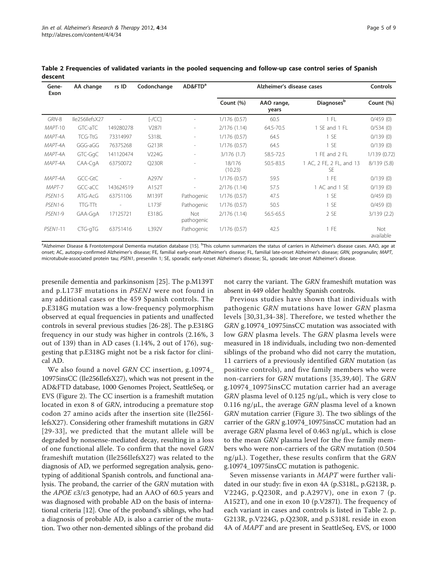| Gene-<br>Exon        | AA change      | rs ID                    | Codonchange      | AD&FTD <sup>a</sup>      | Alzheimer's disease cases |                     |                                       | Controls         |
|----------------------|----------------|--------------------------|------------------|--------------------------|---------------------------|---------------------|---------------------------------------|------------------|
|                      |                |                          |                  |                          | Count $(\%)$              | AAO range,<br>years | <b>Diagnoses</b> b                    | Count (%)        |
| GRN-8                | Ile256IlefsX27 |                          | $[-/CC]$         |                          | 1/176(0.57)               | 60.5                | $1$ FL                                | 0/459(0)         |
| MAPT-10              | GTC-aTC        | 149280278                | V <sub>287</sub> | $\sim$                   | 2/176(1.14)               | 64.5-70.5           | 1 SE and 1 FL                         | 0/534(0)         |
| MAPT-4A              | <b>TCG-TtG</b> | 73314997                 | S318L            | $\overline{\phantom{a}}$ | 1/176(0.57)               | 64.5                | 1SE                                   | 0/139(0)         |
| MAPT-4A              | GGG-aGG        | 76375268                 | G213R            | $\overline{\phantom{a}}$ | 1/176(0.57)               | 64.5                | 1SE                                   | 0/139(0)         |
| MAPT-4A              | GTC-GgC        | 141120474                | V224G            | $\overline{\phantom{a}}$ | 3/176(1.7)                | 58.5-72.5           | 1 FE and 2 FL                         | 1/139(0.72)      |
| MAPT-4A              | CAA-CgA        | 63750072                 | Q230R            |                          | 18/176<br>(10.23)         | 50.5-83.5           | 1 AC, 2 FE, 2 FL, and 13<br><b>SE</b> | 8/139(5.8)       |
| MAPT-4A              | GCC-GtC        |                          | A297V            | $\overline{\phantom{a}}$ | 1/176(0.57)               | 59.5                | 1FE                                   | 0/139(0)         |
| MAPT-7               | GCC-aCC        | 143624519                | A152T            | $\overline{\phantom{a}}$ | 2/176(1.14)               | 57.5                | 1 AC and 1 SE                         | 0/139(0)         |
| PSEN <sub>1</sub> -5 | ATG-AcG        | 63751106                 | M139T            | Pathogenic               | 1/176(0.57)               | 47.5                | 1SE                                   | 0/459(0)         |
| PSEN1-6              | <b>TTG-TTt</b> | $\overline{\phantom{a}}$ | L173F            | Pathogenic               | 1/176(0.57)               | 50.5                | 1SE                                   | 0/459(0)         |
| PSEN <sub>1-9</sub>  | GAA-GgA        | 17125721                 | E318G            | Not<br>pathogenic        | 2/176(1.14)               | 56.5-65.5           | 2 SE                                  | 3/139(2.2)       |
| <b>PSEN1-11</b>      | CTG-gTG        | 63751416                 | L392V            | Pathogenic               | 1/176(0.57)               | 42.5                | $1$ FE                                | Not<br>available |

<span id="page-4-0"></span>Table 2 Frequencies of validated variants in the pooled sequencing and follow-up case control series of Spanish descent

a<br>Alzheimer Disease & Frontotemporal Dementia mutation database [[15\]](#page-7-0). <sup>b</sup>This column summarizes the status of carriers in Alzheimer's disease cases. AAO, age at onset; AC, autopsy-confirmed Alzheimer's disease; FE, familial early-onset Alzheimer's disease; FL, familial late-onset Alzheimer's disease; GRN, progranulin; MAPT, microtubule-associated protein tau; PSEN1, presenilin 1; SE, sporadic early-onset Alzheimer's disease; SL, sporadic late-onset Alzheimer's disease.

presenile dementia and parkinsonism [[25\]](#page-8-0). The p.M139T and p.L173F mutations in PSEN1 were not found in any additional cases or the 459 Spanish controls. The p.E318G mutation was a low-frequency polymorphism observed at equal frequencies in patients and unaffected controls in several previous studies [\[26](#page-8-0)-[28\]](#page-8-0). The p.E318G frequency in our study was higher in controls (2.16%, 3 out of 139) than in AD cases (1.14%, 2 out of 176), suggesting that p.E318G might not be a risk factor for clinical AD.

We also found a novel GRN CC insertion, g.10974 10975insCC (Ile256IlefsX27), which was not present in the AD&FTD database, 1000 Genomes Project, SeattleSeq, or EVS (Figure [2\)](#page-5-0). The CC insertion is a frameshift mutation located in exon 8 of GRN, introducing a premature stop codon 27 amino acids after the insertion site (Ile256IlefsX27). Considering other frameshift mutations in GRN [[29-33](#page-8-0)], we predicted that the mutant allele will be degraded by nonsense-mediated decay, resulting in a loss of one functional allele. To confirm that the novel GRN frameshift mutation (Ile256IlefsX27) was related to the diagnosis of AD, we performed segregation analysis, genotyping of additional Spanish controls, and functional analysis. The proband, the carrier of the GRN mutation with the APOE ε3/ε3 genotype, had an AAO of 60.5 years and was diagnosed with probable AD on the basis of international criteria [\[12\]](#page-7-0). One of the proband's siblings, who had a diagnosis of probable AD, is also a carrier of the mutation. Two other non-demented siblings of the proband did

not carry the variant. The GRN frameshift mutation was absent in 449 older healthy Spanish controls.

Previous studies have shown that individuals with pathogenic GRN mutations have lower GRN plasma levels [[30,31](#page-8-0),[34](#page-8-0)-[38\]](#page-8-0). Therefore, we tested whether the GRN g.10974\_10975insCC mutation was associated with low GRN plasma levels. The GRN plasma levels were measured in 18 individuals, including two non-demented siblings of the proband who did not carry the mutation, 11 carriers of a previously identified GRN mutation (as positive controls), and five family members who were non-carriers for GRN mutations [[35,39,40\]](#page-8-0). The GRN g.10974\_10975insCC mutation carrier had an average  $GRN$  plasma level of 0.125 ng/ $\mu$ L, which is very close to 0.116 ng/ $\mu$ L, the average GRN plasma level of a known GRN mutation carrier (Figure [3](#page-5-0)). The two siblings of the carrier of the GRN g.10974\_10975insCC mutation had an average GRN plasma level of 0.463 ng/μL, which is close to the mean GRN plasma level for the five family members who were non-carriers of the GRN mutation (0.504  $ng/µL$ ). Together, these results confirm that the GRN g.10974\_10975insCC mutation is pathogenic.

Seven missense variants in MAPT were further validated in our study: five in exon 4A (p.S318L, p.G213R, p. V224G, p.Q230R, and p.A297V), one in exon 7 (p. A152T), and one in exon 10 (p.V287I). The frequency of each variant in cases and controls is listed in Table 2. p. G213R, p.V224G, p.Q230R, and p.S318L reside in exon 4A of MAPT and are present in SeattleSeq, EVS, or 1000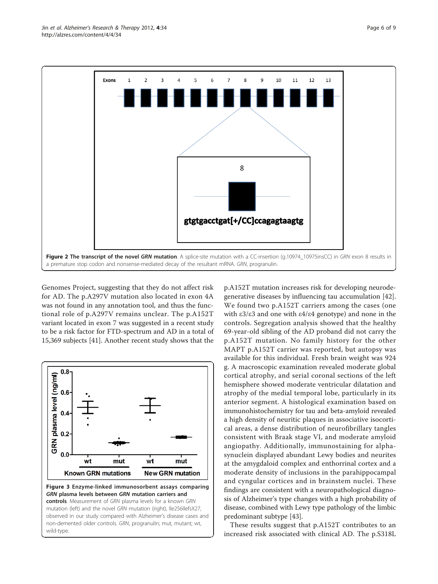<span id="page-5-0"></span>

Genomes Project, suggesting that they do not affect risk for AD. The p.A297V mutation also located in exon 4A was not found in any annotation tool, and thus the functional role of p.A297V remains unclear. The p.A152T variant located in exon 7 was suggested in a recent study to be a risk factor for FTD-spectrum and AD in a total of 15,369 subjects [\[41](#page-8-0)]. Another recent study shows that the



p.A152T mutation increases risk for developing neurodegenerative diseases by influencing tau accumulation [\[42](#page-8-0)]. We found two p.A152T carriers among the cases (one with ε3/ε3 and one with ε4/ε4 genotype) and none in the controls. Segregation analysis showed that the healthy 69-year-old sibling of the AD proband did not carry the p.A152T mutation. No family history for the other MAPT p.A152T carrier was reported, but autopsy was available for this individual. Fresh brain weight was 924 g. A macroscopic examination revealed moderate global cortical atrophy, and serial coronal sections of the left hemisphere showed moderate ventricular dilatation and atrophy of the medial temporal lobe, particularly in its anterior segment. A histological examination based on immunohistochemistry for tau and beta-amyloid revealed a high density of neuritic plaques in associative isocortical areas, a dense distribution of neurofibrillary tangles consistent with Braak stage VI, and moderate amyloid angiopathy. Additionally, immunostaining for alphasynuclein displayed abundant Lewy bodies and neurites at the amygdaloid complex and enthorrinal cortex and a moderate density of inclusions in the parahippocampal and cyngular cortices and in brainstem nuclei. These findings are consistent with a neuropathological diagnosis of Alzheimer's type changes with a high probability of disease, combined with Lewy type pathology of the limbic predominant subtype [\[43\]](#page-8-0).

These results suggest that p.A152T contributes to an increased risk associated with clinical AD. The p.S318L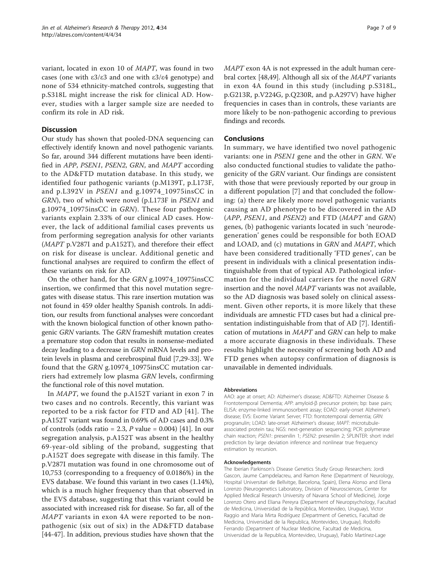variant, located in exon 10 of MAPT, was found in two cases (one with ε3/ε3 and one with ε3/ε4 genotype) and none of 534 ethnicity-matched controls, suggesting that p.S318L might increase the risk for clinical AD. However, studies with a larger sample size are needed to confirm its role in AD risk.

# **Discussion**

Our study has shown that pooled-DNA sequencing can effectively identify known and novel pathogenic variants. So far, around 344 different mutations have been identified in APP, PSEN1, PSEN2, GRN, and MAPT according to the AD&FTD mutation database. In this study, we identified four pathogenic variants (p.M139T, p.L173F, and p.L392V in PSEN1 and g.10974 10975insCC in GRN), two of which were novel (p.L173F in PSEN1 and g.10974\_10975insCC in GRN). These four pathogenic variants explain 2.33% of our clinical AD cases. However, the lack of additional familial cases prevents us from performing segregation analysis for other variants (MAPT p.V287I and p.A152T), and therefore their effect on risk for disease is unclear. Additional genetic and functional analyses are required to confirm the effect of these variants on risk for AD.

On the other hand, for the GRN g.10974\_10975insCC insertion, we confirmed that this novel mutation segregates with disease status. This rare insertion mutation was not found in 459 older healthy Spanish controls. In addition, our results from functional analyses were concordant with the known biological function of other known pathogenic GRN variants. The GRN frameshift mutation creates a premature stop codon that results in nonsense-mediated decay leading to a decrease in GRN mRNA levels and protein levels in plasma and cerebrospinal fluid [[7,](#page-7-0)[29](#page-8-0)-[33](#page-8-0)]. We found that the GRN g.10974\_10975insCC mutation carriers had extremely low plasma GRN levels, confirming the functional role of this novel mutation.

In MAPT, we found the p.A152T variant in exon 7 in two cases and no controls. Recently, this variant was reported to be a risk factor for FTD and AD [[41\]](#page-8-0). The p.A152T variant was found in 0.69% of AD cases and 0.3% of controls (odds ratio = 2.3, P value =  $0.004$ ) [\[41\]](#page-8-0). In our segregation analysis, p.A152T was absent in the healthy 69-year-old sibling of the proband, suggesting that p.A152T does segregate with disease in this family. The p.V287I mutation was found in one chromosome out of 10,753 (corresponding to a frequency of 0.0186%) in the EVS database. We found this variant in two cases (1.14%), which is a much higher frequency than that observed in the EVS database, suggesting that this variant could be associated with increased risk for disease. So far, all of the MAPT variants in exon 4A were reported to be nonpathogenic (six out of six) in the AD&FTD database [[44-47\]](#page-8-0). In addition, previous studies have shown that the

MAPT exon 4A is not expressed in the adult human cerebral cortex [\[48,49\]](#page-8-0). Although all six of the MAPT variants in exon 4A found in this study (including p.S318L, p.G213R, p.V224G, p.Q230R, and p.A297V) have higher frequencies in cases than in controls, these variants are more likely to be non-pathogenic according to previous findings and records.

# Conclusions

In summary, we have identified two novel pathogenic variants: one in PSEN1 gene and the other in GRN. We also conducted functional studies to validate the pathogenicity of the GRN variant. Our findings are consistent with those that were previously reported by our group in a different population [\[7](#page-7-0)] and that concluded the following: (a) there are likely more novel pathogenic variants causing an AD phenotype to be discovered in the AD (APP, PSEN1, and PSEN2) and FTD (MAPT and GRN) genes, (b) pathogenic variants located in such 'neurodegeneration' genes could be responsible for both EOAD and LOAD, and (c) mutations in GRN and MAPT, which have been considered traditionally 'FTD genes', can be present in individuals with a clinical presentation indistinguishable from that of typical AD. Pathological information for the individual carriers for the novel GRN insertion and the novel MAPT variants was not available, so the AD diagnosis was based solely on clinical assessment. Given other reports, it is more likely that these individuals are amnestic FTD cases but had a clinical presentation indistinguishable from that of AD [[7\]](#page-7-0). Identification of mutations in MAPT and GRN can help to make a more accurate diagnosis in these individuals. These results highlight the necessity of screening both AD and FTD genes when autopsy confirmation of diagnosis is unavailable in demented individuals.

#### Abbreviations

AAO: age at onset; AD: Alzheimer's disease; AD&FTD: Alzheimer Disease & Frontotemporal Dementia; APP: amyloid-β precursor protein; bp: base pairs; ELISA: enzyme-linked immunosorbent assay; EOAD: early-onset Alzheimer's disease; EVS: Exome Variant Server; FTD: frontotemporal dementia; GRN: progranulin; LOAD: late-onset Alzheimer's disease; MAPT: microtubuleassociated protein tau; NGS: next-generation sequencing; PCR: polymerase chain reaction; PSEN1: presenilin 1; PSEN2: presenilin 2; SPLINTER: short indel prediction by large deviation inference and nonlinear true frequency estimation by recursion.

#### Acknowledgements

The Iberian Parkinson's Disease Genetics Study Group Researchers: Jordi Gascon, Jaume Campdelacreu, and Ramon Rene (Department of Neurology, Hospital Universitari de Bellvitge, Barcelona, Spain), Elena Alonso and Elena Lorenzo (Neurogenetics Laboratory, Division of Neurosciences, Center for Applied Medical Research University of Navarra School of Medicine), Jorge Lorenzo Otero and Eliana Pereyra (Department of Neuropsychology, Facultad de Medicina, Universidad de la República, Montevideo, Uruguay), Victor Raggio and Maria Mirta Rodríguez (Department of Genetics, Facultad de Medicina, Universidad de la Republica, Montevideo, Uruguay), Rodolfo Ferrando (Department of Nuclear Medicine, Facultad de Medicina, Universidad de la Republica, Montevideo, Uruguay), Pablo Martínez-Lage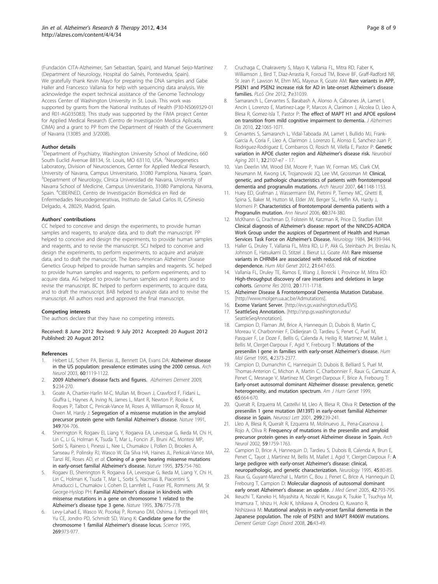<span id="page-7-0"></span>(Fundación CITA-Alzheimer, San Sebastian, Spain), and Manuel Seijo-Martínez (Department of Neurology, Hospital do Salnés, Pontevedra, Spain). We gratefully thank Kevin Mayo for preparing the DNA samples and Gabe Haller and Francesco Vallania for help with sequencing data analysis. We acknowledge the expert technical assistance of the Genome Technology Access Center of Washington University in St. Louis. This work was supported by grants from the National Institutes of Health (P30-NS069329-01 and R01-AG035083). This study was supported by the FIMA project Center for Applied Medical Research (Centro de Investigación Medica Aplicada, CIMA) and a grant to PP from the Department of Health of the Government of Navarra (13085 and 3/2008).

#### Author details

<sup>1</sup>Department of Psychiatry, Washington University School of Medicine, 660 South Euclid Avenue B8134, St. Louis, MO 63110, USA. <sup>2</sup>Neurogenetics Laboratory, Division of Neurosciences, Center for Applied Medical Research, University of Navarra, Campus Universitario, 31080 Pamplona, Navarra, Spain. <sup>3</sup>Department of Neurology, Clínica Universidad de Navarra, University of Navarra School of Medicine, Campus Universitario, 31080 Pamplona, Navarra, Spain. <sup>4</sup> CIBERNED, Centro de Investigación Biomédica en Red de Enfermedades Neurodegenerativas, Instituto de Salud Carlos III, C/Sinesio Delgado, 4, 28029, Madrid, Spain.

#### Authors' contributions

CC helped to conceive and design the experiments, to provide human samples and reagents, to analyze data, and to draft the manuscript. PP helped to conceive and design the experiments, to provide human samples and reagents, and to revise the manuscript. SCJ helped to conceive and design the experiments, to perform experiments, to acquire and analyze data, and to draft the manuscript. The Ibero-American Alzheimer Disease Genetics Group helped to provide human samples and reagents. SC helped to provide human samples and reagents, to perform experiments, and to acquire data. AG helped to provide human samples and reagents and to revise the manuscript. BC helped to perform experiments, to acquire data, and to draft the manuscript. BAB helped to analyze data and to revise the manuscript. All authors read and approved the final manuscript.

#### Competing interests

The authors declare that they have no competing interests.

#### Received: 8 June 2012 Revised: 9 July 2012 Accepted: 20 August 2012 Published: 20 August 2012

#### References

- 1. Hebert LE, Scherr PA, Bienias JL, Bennett DA, Evans DA: [Alzheimer disease](http://www.ncbi.nlm.nih.gov/pubmed/12925369?dopt=Abstract) [in the US population: prevalence estimates using the 2000 census.](http://www.ncbi.nlm.nih.gov/pubmed/12925369?dopt=Abstract) Arch Neurol 2003, 60:1119-1122.
- 2. 2009 Alzheimer's disease facts and figures. Alzheimers Dement 2009, 5:234-270.
- Goate A, Chartier-Harlin M-C, Mullan M, Brown J, Crawford F, Fidani L, Giuffra L, Haynes A, Irving N, James L, Mant R, Newton P, Rooke K, Roques P, Talbot C, Pericak-Vance M, Roses A, Williamson R, Rossor M, Owen M, Hardy J: [Segregation of a missense mutation in the amyloid](http://www.ncbi.nlm.nih.gov/pubmed/1671712?dopt=Abstract) [precursor protein gene with familial Alzheimer](http://www.ncbi.nlm.nih.gov/pubmed/1671712?dopt=Abstract)'s disease. Nature 1991, 349:704-706.
- 4. Sherrington R, Rogaev EI, Liang Y, Rogaeva EA, Levesque G, Ikeda M, Chi H, Lin C, Li G, Holman K, Tsuda T, Mar L, Foncin JF, Bruni AC, Montesi MP, Sorbi S, Rainero I, Pinessi L, Nee L, Chumakov I, Pollen D, Brookes A, Sanseau P, Polinsky RJ, Wasco W, Da Silva HA, Haines JL, Perkicak-Vance MA, Tanzi RE, Roses AD, et al: [Cloning of a gene bearing missense mutations](http://www.ncbi.nlm.nih.gov/pubmed/7596406?dopt=Abstract) [in early-onset familial Alzheimer](http://www.ncbi.nlm.nih.gov/pubmed/7596406?dopt=Abstract)'s disease. Nature 1995, 375:754-760.
- 5. Rogaev EI, Sherrington R, Rogaeva EA, Levesque G, Ikeda M, Liang Y, Chi H, Lin C, Holman K, Tsuda T, Mar L, Sorbi S, Nacmias B, Piacentini S, Amaducci L, Chumakov I, Cohen D, Lannfelt L, Fraser PE, Rommens JM, St George-Hyslop PH: Familial Alzheimer'[s disease in kindreds with](http://www.ncbi.nlm.nih.gov/pubmed/7651536?dopt=Abstract) [missense mutations in a gene on chromosome 1 related to the](http://www.ncbi.nlm.nih.gov/pubmed/7651536?dopt=Abstract) Alzheimer'[s disease type 3 gene.](http://www.ncbi.nlm.nih.gov/pubmed/7651536?dopt=Abstract) Nature 1995, 376:775-778.
- Levy-Lahad E, Wasco W, Poorkaj P, Romano DM, Oshima J, Pettingell WH, Yu CE, Jondro PD, Schmidt SD, Wang K: [Candidate gene for the](http://www.ncbi.nlm.nih.gov/pubmed/7638622?dopt=Abstract) [chromosome 1 familial Alzheimer](http://www.ncbi.nlm.nih.gov/pubmed/7638622?dopt=Abstract)'s disease locus. Science 1995, 269:973-977.
- 7. Cruchaga C, Chakraverty S, Mayo K, Vallania FL, Mitra RD, Faber K, Williamson J, Bird T, Diaz-Arrastia R, Foroud TM, Boeve BF, Graff-Radford NR, St Jean P, Lawson M, Ehm MG, Mayeux R, Goate AM: [Rare variants in APP,](http://www.ncbi.nlm.nih.gov/pubmed/22312439?dopt=Abstract) [PSEN1 and PSEN2 increase risk for AD in late-onset Alzheimer](http://www.ncbi.nlm.nih.gov/pubmed/22312439?dopt=Abstract)'s disease [families.](http://www.ncbi.nlm.nih.gov/pubmed/22312439?dopt=Abstract) PLoS One 2012, 7:e31039.
- 8. Samaranch L, Cervantes S, Barabash A, Alonso A, Cabranes JA, Lamet I, Ancin I, Lorenzo E, Martinez-Lage P, Marcos A, Clarimon J, Alcolea D, Lleo A, Blesa R, Gomez-Isla T, Pastor P: [The effect of MAPT H1 and APOE epsilon4](http://www.ncbi.nlm.nih.gov/pubmed/20930301?dopt=Abstract) [on transition from mild cognitive impairment to dementia.](http://www.ncbi.nlm.nih.gov/pubmed/20930301?dopt=Abstract) J Alzheimers Dis 2010, 22:1065-1071.
- 9. Cervantes S, Samaranch L, Vidal-Taboada JM, Lamet I, Bullido MJ, Frank-Garcia A, Coria F, Lleo A, Clarimon J, Lorenzo E, Alonso E, Sanchez-Juan P, Rodriguez-Rodriguez E, Combarros O, Rosich M, Vilella E, Pastor P: [Genetic](http://www.ncbi.nlm.nih.gov/pubmed/21752496?dopt=Abstract) [variation in APOE cluster region and Alzheimer](http://www.ncbi.nlm.nih.gov/pubmed/21752496?dopt=Abstract)'s disease risk. Neurobiol Aging 2011, 32:2107-e7 - 17.
- 10. Van Deerlin VM, Wood EM, Moore P, Yuan W, Forman MS, Clark CM, Neumann M, Kwong LK, Trojanowski JQ, Lee VM, Grossman M: [Clinical,](http://www.ncbi.nlm.nih.gov/pubmed/17698705?dopt=Abstract) [genetic, and pathologic characteristics of patients with frontotemporal](http://www.ncbi.nlm.nih.gov/pubmed/17698705?dopt=Abstract) [dementia and progranulin mutations.](http://www.ncbi.nlm.nih.gov/pubmed/17698705?dopt=Abstract) Arch Neurol 2007, 64:1148-1153.
- 11. Huey ED, Grafman J, Wassermann EM, Pietrini P, Tierney MC, Ghetti B, Spina S, Baker M, Hutton M, Elder JW, Berger SL, Heflin KA, Hardy J, Momeni P: [Characteristics of frontotemporal dementia patients with a](http://www.ncbi.nlm.nih.gov/pubmed/16983677?dopt=Abstract) [Progranulin mutation.](http://www.ncbi.nlm.nih.gov/pubmed/16983677?dopt=Abstract) Ann Neurol 2006, 60:374-380.
- 12. McKhann G, Drachman D, Folstein M, Katzman R, Price D, Stadlan EM: Clinical diagnosis of Alzheimer'[s disease: report of the NINCDS-ADRDA](http://www.ncbi.nlm.nih.gov/pubmed/6610841?dopt=Abstract) [Work Group under the auspices of Department of Health and Human](http://www.ncbi.nlm.nih.gov/pubmed/6610841?dopt=Abstract) [Services Task Force on Alzheimer](http://www.ncbi.nlm.nih.gov/pubmed/6610841?dopt=Abstract)'s Disease. Neurology 1984, 34:939-944.
- 13. Haller G, Druley T, Vallania FL, Mitra RD, Li P, Akk G, Steinbach JH, Breslau N, Johnson E, Hatsukami D, Stitzel J, Bierut LJ, Goate AM: [Rare missense](http://www.ncbi.nlm.nih.gov/pubmed/22042774?dopt=Abstract) [variants in CHRNB4 are associated with reduced risk of nicotine](http://www.ncbi.nlm.nih.gov/pubmed/22042774?dopt=Abstract) [dependence.](http://www.ncbi.nlm.nih.gov/pubmed/22042774?dopt=Abstract) Hum Mol Genet 2012, 21:647-655.
- 14. Vallania FL, Druley TE, Ramos E, Wang J, Borecki I, Province M, Mitra RD: [High-throughput discovery of rare insertions and deletions in large](http://www.ncbi.nlm.nih.gov/pubmed/21041413?dopt=Abstract) [cohorts.](http://www.ncbi.nlm.nih.gov/pubmed/21041413?dopt=Abstract) Genome Res 2010, 20:1711-1718.
- 15. Alzheimer Disease & Frontotemporal Dementia Mutation Database. [[http://www.molgen.ua.ac.be/Admutations\]](http://www.molgen.ua.ac.be/Admutations).
- 16. Exome Variant Server. [\[http://evs.gs.washington.edu/EVS](http://evs.gs.washington.edu/EVS)].
- 17. SeattleSeq Annotation. [\[http://snp.gs.washington.edu/](http://snp.gs.washington.edu/SeattleSeqAnnotation) [SeattleSeqAnnotation](http://snp.gs.washington.edu/SeattleSeqAnnotation)].
- 18. Campion D, Flaman JM, Brice A, Hannequin D, Dubois B, Martin C, Moreau V, Charbonnier F, Didierjean O, Tardieu S, Penet C, Puel M, Pasquier F, Le Doze F, Bellis G, Calenda A, Heilig R, Martinez M, Mallet J, Bellis M, Clerget-Darpoux F, Agid Y, Frebourg T: [Mutations of the](http://www.ncbi.nlm.nih.gov/pubmed/8634712?dopt=Abstract) [presenilin I gene in families with early-onset Alzheimer](http://www.ncbi.nlm.nih.gov/pubmed/8634712?dopt=Abstract)'s disease. Hum Mol Genet 1995, 4:2373-2377.
- 19. Campion D, Dumanchin C, Hannequin D, Dubois B, Belliard S, Puel M, Thomas-Anterion C, Michon A, Martin C, Charbonnier F, Raux G, Camuzat A, Penet C, Mesnage V, Martinez M, Clerget-Darpoux F, Brice A, Frebourg T: [Early-onset autosomal dominant Alzheimer disease: prevalence, genetic](http://www.ncbi.nlm.nih.gov/pubmed/10441572?dopt=Abstract) [heterogeneity, and mutation spectrum.](http://www.ncbi.nlm.nih.gov/pubmed/10441572?dopt=Abstract) Am J Hum Genet 1999, 65:664-670.
- 20. Queralt R, Ezquerra M, Castellvi M, Lleo A, Blesa R, Oliva R: [Detection of the](http://www.ncbi.nlm.nih.gov/pubmed/11165779?dopt=Abstract) [presenilin 1 gene mutation \(M139T\) in early-onset familial Alzheimer](http://www.ncbi.nlm.nih.gov/pubmed/11165779?dopt=Abstract) [disease in Spain.](http://www.ncbi.nlm.nih.gov/pubmed/11165779?dopt=Abstract) Neurosci Lett 2001, 299:239-241.
- 21. Lleo A, Blesa R, Queralt R, Ezquerra M, Molinuevo JL, Pena-Casanova J, Rojo A, Oliva R: [Frequency of mutations in the presenilin and amyloid](http://www.ncbi.nlm.nih.gov/pubmed/12433263?dopt=Abstract) [precursor protein genes in early-onset Alzheimer disease in Spain.](http://www.ncbi.nlm.nih.gov/pubmed/12433263?dopt=Abstract) Arch Neurol 2002, 59:1759-1763.
- 22. Campion D, Brice A, Hannequin D, Tardieu S, Dubois B, Calenda A, Brun E, Penet C, Tayot J, Martinez M, Bellis M, Mallet J, Agid Y, Clerget-Darpoux F: [A](http://www.ncbi.nlm.nih.gov/pubmed/7824141?dopt=Abstract) [large pedigree with early-onset Alzheimer](http://www.ncbi.nlm.nih.gov/pubmed/7824141?dopt=Abstract)'s disease: clinical, [neuropathologic, and genetic characterization.](http://www.ncbi.nlm.nih.gov/pubmed/7824141?dopt=Abstract) Neurology 1995, 45:80-85.
- 23. Raux G, Guyant-Marechal L, Martin C, Bou J, Penet C, Brice A, Hannequin D, Frebourg T, Campion D: [Molecular diagnosis of autosomal dominant](http://www.ncbi.nlm.nih.gov/pubmed/16033913?dopt=Abstract) [early onset Alzheimer](http://www.ncbi.nlm.nih.gov/pubmed/16033913?dopt=Abstract)'s disease: an update. J Med Genet 2005, 42:793-795.
- 24. Ikeuchi T, Kaneko H, Miyashita A, Nozaki H, Kasuga K, Tsukie T, Tsuchiya M, Imamura T, Ishizu H, Aoki K, Ishikawa A, Onodera O, Kuwano R, Nishizawa M: Mutational [analysis in early-onset familial dementia in the](http://www.ncbi.nlm.nih.gov/pubmed/18587238?dopt=Abstract) [Japanese population. The role of PSEN1 and MAPT R406W mutations.](http://www.ncbi.nlm.nih.gov/pubmed/18587238?dopt=Abstract) Dement Geriatr Cogn Disord 2008, 26:43-49.